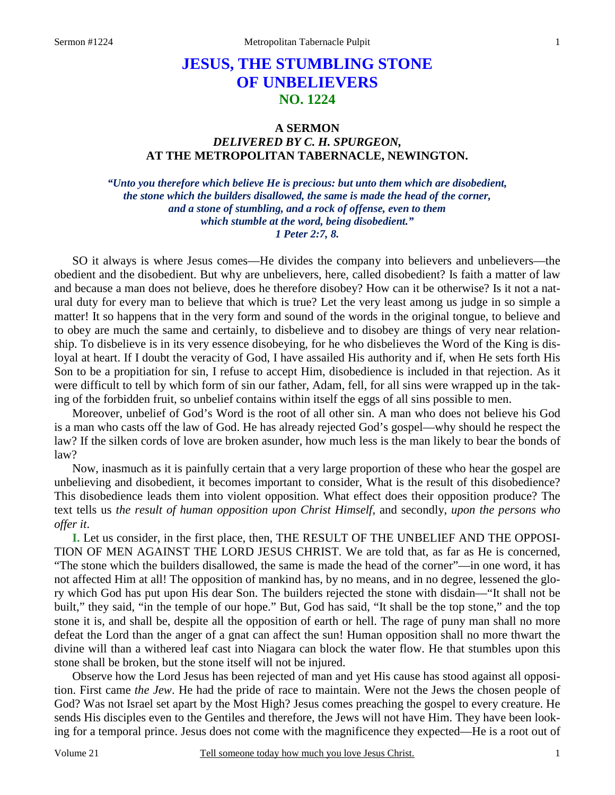# **JESUS, THE STUMBLING STONE OF UNBELIEVERS NO. 1224**

## **A SERMON**  *DELIVERED BY C. H. SPURGEON,*  **AT THE METROPOLITAN TABERNACLE, NEWINGTON.**

*"Unto you therefore which believe He is precious: but unto them which are disobedient, the stone which the builders disallowed, the same is made the head of the corner, and a stone of stumbling, and a rock of offense, even to them which stumble at the word, being disobedient." 1 Peter 2:7, 8.* 

SO it always is where Jesus comes—He divides the company into believers and unbelievers—the obedient and the disobedient. But why are unbelievers, here, called disobedient? Is faith a matter of law and because a man does not believe, does he therefore disobey? How can it be otherwise? Is it not a natural duty for every man to believe that which is true? Let the very least among us judge in so simple a matter! It so happens that in the very form and sound of the words in the original tongue, to believe and to obey are much the same and certainly, to disbelieve and to disobey are things of very near relationship. To disbelieve is in its very essence disobeying, for he who disbelieves the Word of the King is disloyal at heart. If I doubt the veracity of God, I have assailed His authority and if, when He sets forth His Son to be a propitiation for sin, I refuse to accept Him, disobedience is included in that rejection. As it were difficult to tell by which form of sin our father, Adam, fell, for all sins were wrapped up in the taking of the forbidden fruit, so unbelief contains within itself the eggs of all sins possible to men.

Moreover, unbelief of God's Word is the root of all other sin. A man who does not believe his God is a man who casts off the law of God. He has already rejected God's gospel—why should he respect the law? If the silken cords of love are broken asunder, how much less is the man likely to bear the bonds of law?

Now, inasmuch as it is painfully certain that a very large proportion of these who hear the gospel are unbelieving and disobedient, it becomes important to consider, What is the result of this disobedience? This disobedience leads them into violent opposition. What effect does their opposition produce? The text tells us *the result of human opposition upon Christ Himself,* and secondly, *upon the persons who offer it*.

**I.** Let us consider, in the first place, then, THE RESULT OF THE UNBELIEF AND THE OPPOSI-TION OF MEN AGAINST THE LORD JESUS CHRIST. We are told that, as far as He is concerned, "The stone which the builders disallowed, the same is made the head of the corner"—in one word, it has not affected Him at all! The opposition of mankind has, by no means, and in no degree, lessened the glory which God has put upon His dear Son. The builders rejected the stone with disdain—"It shall not be built," they said, "in the temple of our hope." But, God has said, "It shall be the top stone," and the top stone it is, and shall be, despite all the opposition of earth or hell. The rage of puny man shall no more defeat the Lord than the anger of a gnat can affect the sun! Human opposition shall no more thwart the divine will than a withered leaf cast into Niagara can block the water flow. He that stumbles upon this stone shall be broken, but the stone itself will not be injured.

Observe how the Lord Jesus has been rejected of man and yet His cause has stood against all opposition. First came *the Jew*. He had the pride of race to maintain. Were not the Jews the chosen people of God? Was not Israel set apart by the Most High? Jesus comes preaching the gospel to every creature. He sends His disciples even to the Gentiles and therefore, the Jews will not have Him. They have been looking for a temporal prince. Jesus does not come with the magnificence they expected—He is a root out of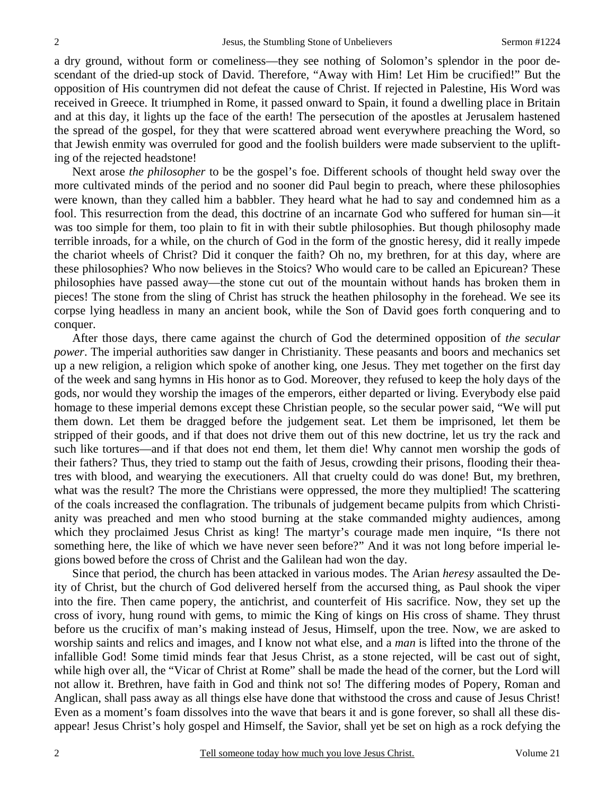a dry ground, without form or comeliness—they see nothing of Solomon's splendor in the poor descendant of the dried-up stock of David. Therefore, "Away with Him! Let Him be crucified!" But the opposition of His countrymen did not defeat the cause of Christ. If rejected in Palestine, His Word was received in Greece. It triumphed in Rome, it passed onward to Spain, it found a dwelling place in Britain and at this day, it lights up the face of the earth! The persecution of the apostles at Jerusalem hastened the spread of the gospel, for they that were scattered abroad went everywhere preaching the Word, so that Jewish enmity was overruled for good and the foolish builders were made subservient to the uplifting of the rejected headstone!

Next arose *the philosopher* to be the gospel's foe. Different schools of thought held sway over the more cultivated minds of the period and no sooner did Paul begin to preach, where these philosophies were known, than they called him a babbler. They heard what he had to say and condemned him as a fool. This resurrection from the dead, this doctrine of an incarnate God who suffered for human sin—it was too simple for them, too plain to fit in with their subtle philosophies. But though philosophy made terrible inroads, for a while, on the church of God in the form of the gnostic heresy, did it really impede the chariot wheels of Christ? Did it conquer the faith? Oh no, my brethren, for at this day, where are these philosophies? Who now believes in the Stoics? Who would care to be called an Epicurean? These philosophies have passed away—the stone cut out of the mountain without hands has broken them in pieces! The stone from the sling of Christ has struck the heathen philosophy in the forehead. We see its corpse lying headless in many an ancient book, while the Son of David goes forth conquering and to conquer.

After those days, there came against the church of God the determined opposition of *the secular power*. The imperial authorities saw danger in Christianity. These peasants and boors and mechanics set up a new religion, a religion which spoke of another king, one Jesus. They met together on the first day of the week and sang hymns in His honor as to God. Moreover, they refused to keep the holy days of the gods, nor would they worship the images of the emperors, either departed or living. Everybody else paid homage to these imperial demons except these Christian people, so the secular power said, "We will put them down. Let them be dragged before the judgement seat. Let them be imprisoned, let them be stripped of their goods, and if that does not drive them out of this new doctrine, let us try the rack and such like tortures—and if that does not end them, let them die! Why cannot men worship the gods of their fathers? Thus, they tried to stamp out the faith of Jesus, crowding their prisons, flooding their theatres with blood, and wearying the executioners. All that cruelty could do was done! But, my brethren, what was the result? The more the Christians were oppressed, the more they multiplied! The scattering of the coals increased the conflagration. The tribunals of judgement became pulpits from which Christianity was preached and men who stood burning at the stake commanded mighty audiences, among which they proclaimed Jesus Christ as king! The martyr's courage made men inquire, "Is there not something here, the like of which we have never seen before?" And it was not long before imperial legions bowed before the cross of Christ and the Galilean had won the day.

Since that period, the church has been attacked in various modes. The Arian *heresy* assaulted the Deity of Christ, but the church of God delivered herself from the accursed thing, as Paul shook the viper into the fire. Then came popery, the antichrist, and counterfeit of His sacrifice. Now, they set up the cross of ivory, hung round with gems, to mimic the King of kings on His cross of shame. They thrust before us the crucifix of man's making instead of Jesus, Himself, upon the tree. Now, we are asked to worship saints and relics and images, and I know not what else, and a *man* is lifted into the throne of the infallible God! Some timid minds fear that Jesus Christ, as a stone rejected, will be cast out of sight, while high over all, the "Vicar of Christ at Rome" shall be made the head of the corner, but the Lord will not allow it. Brethren, have faith in God and think not so! The differing modes of Popery, Roman and Anglican, shall pass away as all things else have done that withstood the cross and cause of Jesus Christ! Even as a moment's foam dissolves into the wave that bears it and is gone forever, so shall all these disappear! Jesus Christ's holy gospel and Himself, the Savior, shall yet be set on high as a rock defying the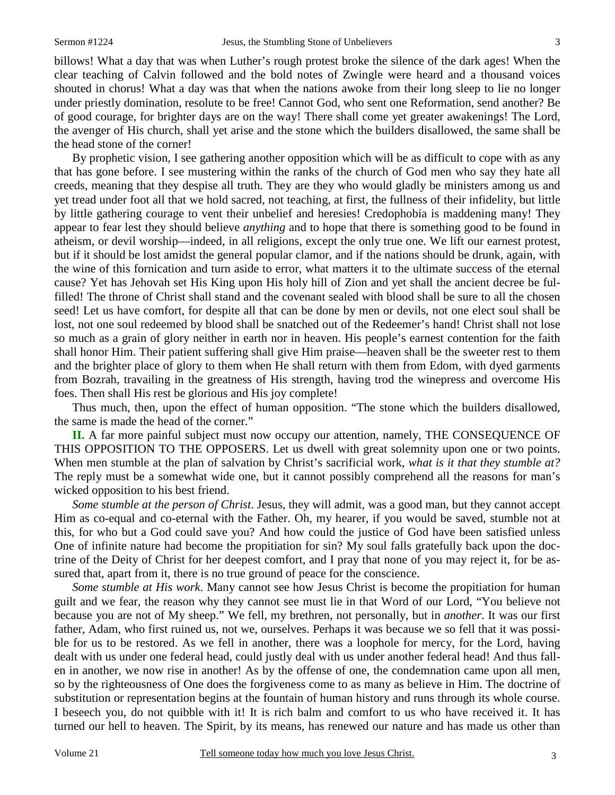billows! What a day that was when Luther's rough protest broke the silence of the dark ages! When the clear teaching of Calvin followed and the bold notes of Zwingle were heard and a thousand voices shouted in chorus! What a day was that when the nations awoke from their long sleep to lie no longer under priestly domination, resolute to be free! Cannot God, who sent one Reformation, send another? Be of good courage, for brighter days are on the way! There shall come yet greater awakenings! The Lord, the avenger of His church, shall yet arise and the stone which the builders disallowed, the same shall be the head stone of the corner!

By prophetic vision, I see gathering another opposition which will be as difficult to cope with as any that has gone before. I see mustering within the ranks of the church of God men who say they hate all creeds, meaning that they despise all truth. They are they who would gladly be ministers among us and yet tread under foot all that we hold sacred, not teaching, at first, the fullness of their infidelity, but little by little gathering courage to vent their unbelief and heresies! Credophobia is maddening many! They appear to fear lest they should believe *anything* and to hope that there is something good to be found in atheism, or devil worship—indeed, in all religions, except the only true one. We lift our earnest protest, but if it should be lost amidst the general popular clamor, and if the nations should be drunk, again, with the wine of this fornication and turn aside to error, what matters it to the ultimate success of the eternal cause? Yet has Jehovah set His King upon His holy hill of Zion and yet shall the ancient decree be fulfilled! The throne of Christ shall stand and the covenant sealed with blood shall be sure to all the chosen seed! Let us have comfort, for despite all that can be done by men or devils, not one elect soul shall be lost, not one soul redeemed by blood shall be snatched out of the Redeemer's hand! Christ shall not lose so much as a grain of glory neither in earth nor in heaven. His people's earnest contention for the faith shall honor Him. Their patient suffering shall give Him praise—heaven shall be the sweeter rest to them and the brighter place of glory to them when He shall return with them from Edom, with dyed garments from Bozrah, travailing in the greatness of His strength, having trod the winepress and overcome His foes. Then shall His rest be glorious and His joy complete!

Thus much, then, upon the effect of human opposition. "The stone which the builders disallowed, the same is made the head of the corner."

**II.** A far more painful subject must now occupy our attention, namely, THE CONSEQUENCE OF THIS OPPOSITION TO THE OPPOSERS. Let us dwell with great solemnity upon one or two points. When men stumble at the plan of salvation by Christ's sacrificial work, *what is it that they stumble at?* The reply must be a somewhat wide one, but it cannot possibly comprehend all the reasons for man's wicked opposition to his best friend.

*Some stumble at the person of Christ*. Jesus, they will admit, was a good man, but they cannot accept Him as co-equal and co-eternal with the Father. Oh, my hearer, if you would be saved, stumble not at this, for who but a God could save you? And how could the justice of God have been satisfied unless One of infinite nature had become the propitiation for sin? My soul falls gratefully back upon the doctrine of the Deity of Christ for her deepest comfort, and I pray that none of you may reject it, for be assured that, apart from it, there is no true ground of peace for the conscience.

*Some stumble at His work*. Many cannot see how Jesus Christ is become the propitiation for human guilt and we fear, the reason why they cannot see must lie in that Word of our Lord, "You believe not because you are not of My sheep." We fell, my brethren, not personally, but in *another*. It was our first father, Adam, who first ruined us, not we, ourselves. Perhaps it was because we so fell that it was possible for us to be restored. As we fell in another, there was a loophole for mercy, for the Lord, having dealt with us under one federal head, could justly deal with us under another federal head! And thus fallen in another, we now rise in another! As by the offense of one, the condemnation came upon all men, so by the righteousness of One does the forgiveness come to as many as believe in Him. The doctrine of substitution or representation begins at the fountain of human history and runs through its whole course. I beseech you, do not quibble with it! It is rich balm and comfort to us who have received it. It has turned our hell to heaven. The Spirit, by its means, has renewed our nature and has made us other than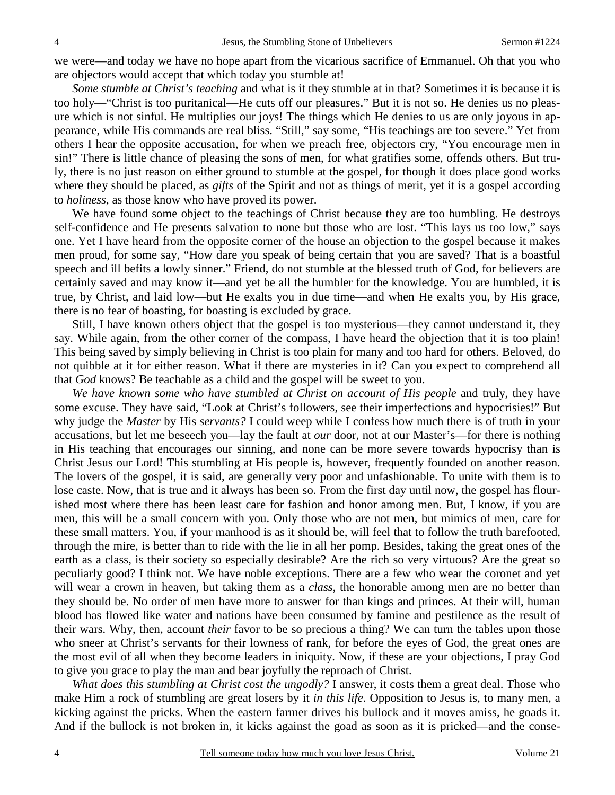we were—and today we have no hope apart from the vicarious sacrifice of Emmanuel. Oh that you who are objectors would accept that which today you stumble at!

*Some stumble at Christ's teaching* and what is it they stumble at in that? Sometimes it is because it is too holy—"Christ is too puritanical—He cuts off our pleasures." But it is not so. He denies us no pleasure which is not sinful. He multiplies our joys! The things which He denies to us are only joyous in appearance, while His commands are real bliss. "Still," say some, "His teachings are too severe." Yet from others I hear the opposite accusation, for when we preach free, objectors cry, "You encourage men in sin!" There is little chance of pleasing the sons of men, for what gratifies some, offends others. But truly, there is no just reason on either ground to stumble at the gospel, for though it does place good works where they should be placed, as *gifts* of the Spirit and not as things of merit, yet it is a gospel according to *holiness*, as those know who have proved its power.

We have found some object to the teachings of Christ because they are too humbling. He destroys self-confidence and He presents salvation to none but those who are lost. "This lays us too low," says one. Yet I have heard from the opposite corner of the house an objection to the gospel because it makes men proud, for some say, "How dare you speak of being certain that you are saved? That is a boastful speech and ill befits a lowly sinner." Friend, do not stumble at the blessed truth of God, for believers are certainly saved and may know it—and yet be all the humbler for the knowledge. You are humbled, it is true, by Christ, and laid low—but He exalts you in due time—and when He exalts you, by His grace, there is no fear of boasting, for boasting is excluded by grace.

Still, I have known others object that the gospel is too mysterious—they cannot understand it, they say. While again, from the other corner of the compass, I have heard the objection that it is too plain! This being saved by simply believing in Christ is too plain for many and too hard for others. Beloved, do not quibble at it for either reason. What if there are mysteries in it? Can you expect to comprehend all that *God* knows? Be teachable as a child and the gospel will be sweet to you.

*We have known some who have stumbled at Christ on account of His people* and truly, they have some excuse. They have said, "Look at Christ's followers, see their imperfections and hypocrisies!" But why judge the *Master* by His *servants?* I could weep while I confess how much there is of truth in your accusations, but let me beseech you—lay the fault at *our* door, not at our Master's—for there is nothing in His teaching that encourages our sinning, and none can be more severe towards hypocrisy than is Christ Jesus our Lord! This stumbling at His people is, however, frequently founded on another reason. The lovers of the gospel, it is said, are generally very poor and unfashionable. To unite with them is to lose caste. Now, that is true and it always has been so. From the first day until now, the gospel has flourished most where there has been least care for fashion and honor among men. But, I know, if you are men, this will be a small concern with you. Only those who are not men, but mimics of men, care for these small matters. You, if your manhood is as it should be, will feel that to follow the truth barefooted, through the mire, is better than to ride with the lie in all her pomp. Besides, taking the great ones of the earth as a class, is their society so especially desirable? Are the rich so very virtuous? Are the great so peculiarly good? I think not. We have noble exceptions. There are a few who wear the coronet and yet will wear a crown in heaven, but taking them as a *class,* the honorable among men are no better than they should be. No order of men have more to answer for than kings and princes. At their will, human blood has flowed like water and nations have been consumed by famine and pestilence as the result of their wars. Why, then, account *their* favor to be so precious a thing? We can turn the tables upon those who sneer at Christ's servants for their lowness of rank, for before the eyes of God, the great ones are the most evil of all when they become leaders in iniquity. Now, if these are your objections, I pray God to give you grace to play the man and bear joyfully the reproach of Christ.

*What does this stumbling at Christ cost the ungodly?* I answer, it costs them a great deal. Those who make Him a rock of stumbling are great losers by it *in this life*. Opposition to Jesus is, to many men, a kicking against the pricks. When the eastern farmer drives his bullock and it moves amiss, he goads it. And if the bullock is not broken in, it kicks against the goad as soon as it is pricked—and the conse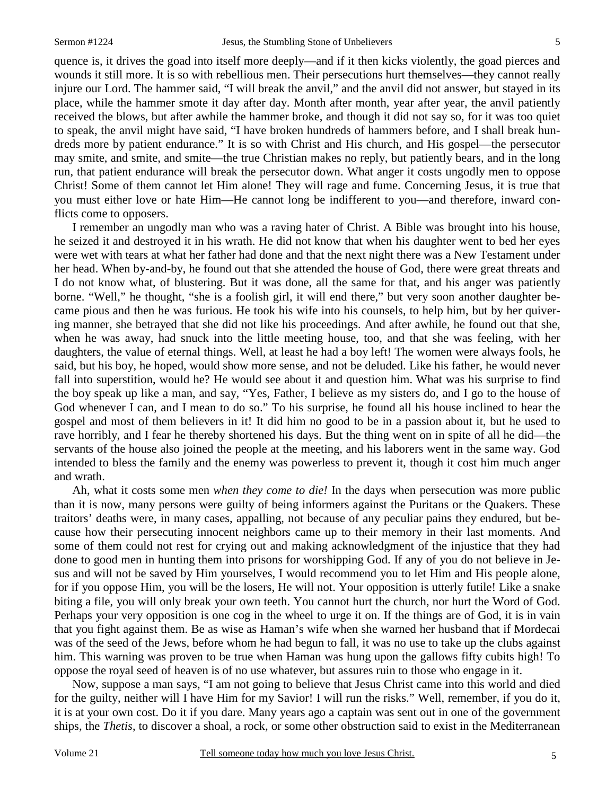quence is, it drives the goad into itself more deeply—and if it then kicks violently, the goad pierces and wounds it still more. It is so with rebellious men. Their persecutions hurt themselves—they cannot really injure our Lord. The hammer said, "I will break the anvil," and the anvil did not answer, but stayed in its place, while the hammer smote it day after day. Month after month, year after year, the anvil patiently received the blows, but after awhile the hammer broke, and though it did not say so, for it was too quiet to speak, the anvil might have said, "I have broken hundreds of hammers before, and I shall break hundreds more by patient endurance." It is so with Christ and His church, and His gospel—the persecutor may smite, and smite, and smite—the true Christian makes no reply, but patiently bears, and in the long run, that patient endurance will break the persecutor down. What anger it costs ungodly men to oppose Christ! Some of them cannot let Him alone! They will rage and fume. Concerning Jesus, it is true that you must either love or hate Him—He cannot long be indifferent to you—and therefore, inward conflicts come to opposers.

I remember an ungodly man who was a raving hater of Christ. A Bible was brought into his house, he seized it and destroyed it in his wrath. He did not know that when his daughter went to bed her eyes were wet with tears at what her father had done and that the next night there was a New Testament under her head. When by-and-by, he found out that she attended the house of God, there were great threats and I do not know what, of blustering. But it was done, all the same for that, and his anger was patiently borne. "Well," he thought, "she is a foolish girl, it will end there," but very soon another daughter became pious and then he was furious. He took his wife into his counsels, to help him, but by her quivering manner, she betrayed that she did not like his proceedings. And after awhile, he found out that she, when he was away, had snuck into the little meeting house, too, and that she was feeling, with her daughters, the value of eternal things. Well, at least he had a boy left! The women were always fools, he said, but his boy, he hoped, would show more sense, and not be deluded. Like his father, he would never fall into superstition, would he? He would see about it and question him. What was his surprise to find the boy speak up like a man, and say, "Yes, Father, I believe as my sisters do, and I go to the house of God whenever I can, and I mean to do so." To his surprise, he found all his house inclined to hear the gospel and most of them believers in it! It did him no good to be in a passion about it, but he used to rave horribly, and I fear he thereby shortened his days. But the thing went on in spite of all he did—the servants of the house also joined the people at the meeting, and his laborers went in the same way. God intended to bless the family and the enemy was powerless to prevent it, though it cost him much anger and wrath.

Ah, what it costs some men *when they come to die!* In the days when persecution was more public than it is now, many persons were guilty of being informers against the Puritans or the Quakers. These traitors' deaths were, in many cases, appalling, not because of any peculiar pains they endured, but because how their persecuting innocent neighbors came up to their memory in their last moments. And some of them could not rest for crying out and making acknowledgment of the injustice that they had done to good men in hunting them into prisons for worshipping God. If any of you do not believe in Jesus and will not be saved by Him yourselves, I would recommend you to let Him and His people alone, for if you oppose Him, you will be the losers, He will not. Your opposition is utterly futile! Like a snake biting a file, you will only break your own teeth. You cannot hurt the church, nor hurt the Word of God. Perhaps your very opposition is one cog in the wheel to urge it on. If the things are of God, it is in vain that you fight against them. Be as wise as Haman's wife when she warned her husband that if Mordecai was of the seed of the Jews, before whom he had begun to fall, it was no use to take up the clubs against him. This warning was proven to be true when Haman was hung upon the gallows fifty cubits high! To oppose the royal seed of heaven is of no use whatever, but assures ruin to those who engage in it.

Now, suppose a man says, "I am not going to believe that Jesus Christ came into this world and died for the guilty, neither will I have Him for my Savior! I will run the risks." Well, remember, if you do it, it is at your own cost. Do it if you dare. Many years ago a captain was sent out in one of the government ships, the *Thetis*, to discover a shoal, a rock, or some other obstruction said to exist in the Mediterranean